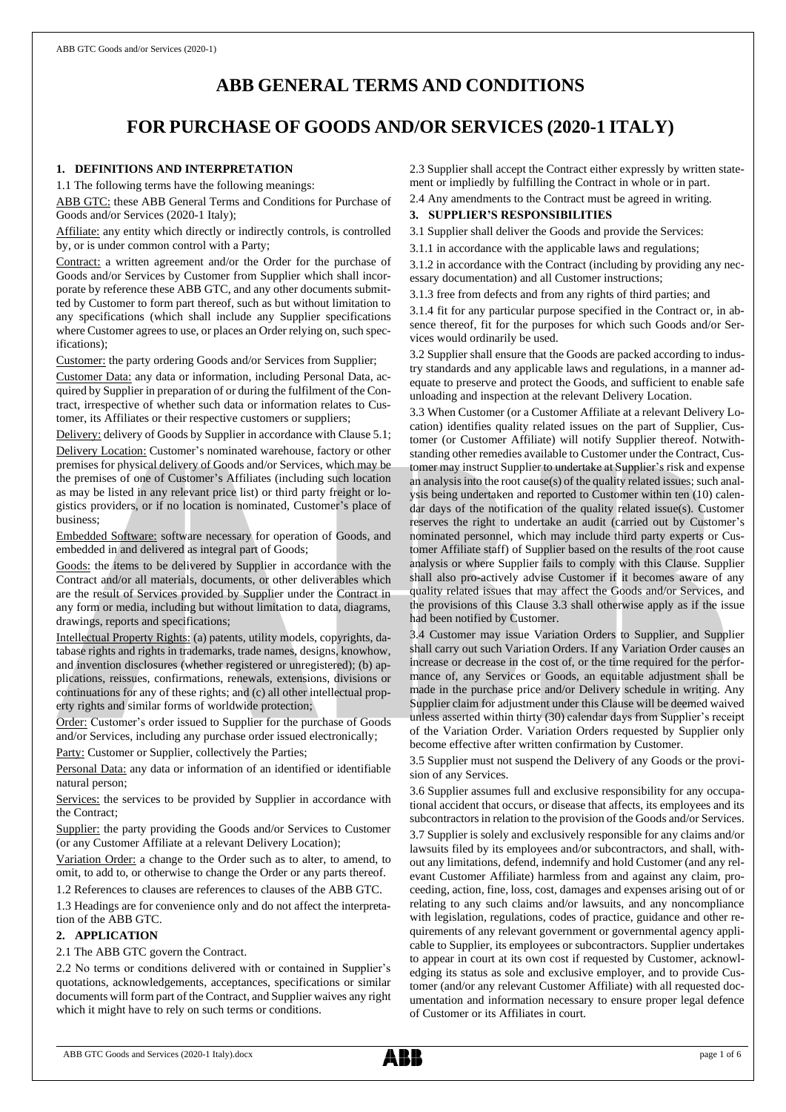# **ABB GENERAL TERMS AND CONDITIONS**

# **FOR PURCHASE OF GOODS AND/OR SERVICES (2020-1 ITALY)**

## **1. DEFINITIONS AND INTERPRETATION**

1.1 The following terms have the following meanings:

ABB GTC: these ABB General Terms and Conditions for Purchase of Goods and/or Services (2020-1 Italy);

Affiliate: any entity which directly or indirectly controls, is controlled by, or is under common control with a Party;

Contract: a written agreement and/or the Order for the purchase of Goods and/or Services by Customer from Supplier which shall incorporate by reference these ABB GTC, and any other documents submitted by Customer to form part thereof, such as but without limitation to any specifications (which shall include any Supplier specifications where Customer agrees to use, or places an Order relying on, such specifications);

Customer: the party ordering Goods and/or Services from Supplier;

Customer Data: any data or information, including Personal Data, acquired by Supplier in preparation of or during the fulfilment of the Contract, irrespective of whether such data or information relates to Customer, its Affiliates or their respective customers or suppliers;

Delivery: delivery of Goods by Supplier in accordance with Clause 5.1; Delivery Location: Customer's nominated warehouse, factory or other premises for physical delivery of Goods and/or Services, which may be the premises of one of Customer's Affiliates (including such location as may be listed in any relevant price list) or third party freight or logistics providers, or if no location is nominated, Customer's place of business;

Embedded Software: software necessary for operation of Goods, and embedded in and delivered as integral part of Goods;

Goods: the items to be delivered by Supplier in accordance with the Contract and/or all materials, documents, or other deliverables which are the result of Services provided by Supplier under the Contract in any form or media, including but without limitation to data, diagrams, drawings, reports and specifications;

Intellectual Property Rights: (a) patents, utility models, copyrights, database rights and rights in trademarks, trade names, designs, knowhow, and invention disclosures (whether registered or unregistered); (b) applications, reissues, confirmations, renewals, extensions, divisions or continuations for any of these rights; and (c) all other intellectual property rights and similar forms of worldwide protection;

Order: Customer's order issued to Supplier for the purchase of Goods and/or Services, including any purchase order issued electronically;

Party: Customer or Supplier, collectively the Parties;

Personal Data: any data or information of an identified or identifiable natural person;

Services: the services to be provided by Supplier in accordance with the Contract;

Supplier: the party providing the Goods and/or Services to Customer (or any Customer Affiliate at a relevant Delivery Location);

Variation Order: a change to the Order such as to alter, to amend, to omit, to add to, or otherwise to change the Order or any parts thereof.

1.2 References to clauses are references to clauses of the ABB GTC.

1.3 Headings are for convenience only and do not affect the interpretation of the ABB GTC.

# **2. APPLICATION**

#### 2.1 The ABB GTC govern the Contract.

2.2 No terms or conditions delivered with or contained in Supplier's quotations, acknowledgements, acceptances, specifications or similar documents will form part of the Contract, and Supplier waives any right which it might have to rely on such terms or conditions.

2.3 Supplier shall accept the Contract either expressly by written statement or impliedly by fulfilling the Contract in whole or in part.

2.4 Any amendments to the Contract must be agreed in writing.

## **3. SUPPLIER'S RESPONSIBILITIES**

3.1 Supplier shall deliver the Goods and provide the Services:

3.1.1 in accordance with the applicable laws and regulations;

3.1.2 in accordance with the Contract (including by providing any necessary documentation) and all Customer instructions;

3.1.3 free from defects and from any rights of third parties; and

3.1.4 fit for any particular purpose specified in the Contract or, in absence thereof, fit for the purposes for which such Goods and/or Services would ordinarily be used.

3.2 Supplier shall ensure that the Goods are packed according to industry standards and any applicable laws and regulations, in a manner adequate to preserve and protect the Goods, and sufficient to enable safe unloading and inspection at the relevant Delivery Location.

3.3 When Customer (or a Customer Affiliate at a relevant Delivery Location) identifies quality related issues on the part of Supplier, Customer (or Customer Affiliate) will notify Supplier thereof. Notwithstanding other remedies available to Customer under the Contract, Customer may instruct Supplier to undertake at Supplier's risk and expense an analysis into the root cause(s) of the quality related issues; such analysis being undertaken and reported to Customer within ten (10) calendar days of the notification of the quality related issue(s). Customer reserves the right to undertake an audit (carried out by Customer's nominated personnel, which may include third party experts or Customer Affiliate staff) of Supplier based on the results of the root cause analysis or where Supplier fails to comply with this Clause. Supplier shall also pro-actively advise Customer if it becomes aware of any quality related issues that may affect the Goods and/or Services, and the provisions of this Clause 3.3 shall otherwise apply as if the issue had been notified by Customer.

3.4 Customer may issue Variation Orders to Supplier, and Supplier shall carry out such Variation Orders. If any Variation Order causes an increase or decrease in the cost of, or the time required for the performance of, any Services or Goods, an equitable adjustment shall be made in the purchase price and/or Delivery schedule in writing. Any Supplier claim for adjustment under this Clause will be deemed waived unless asserted within thirty (30) calendar days from Supplier's receipt of the Variation Order. Variation Orders requested by Supplier only become effective after written confirmation by Customer.

3.5 Supplier must not suspend the Delivery of any Goods or the provision of any Services.

3.6 Supplier assumes full and exclusive responsibility for any occupational accident that occurs, or disease that affects, its employees and its subcontractors in relation to the provision of the Goods and/or Services. 3.7 Supplier is solely and exclusively responsible for any claims and/or lawsuits filed by its employees and/or subcontractors, and shall, without any limitations, defend, indemnify and hold Customer (and any relevant Customer Affiliate) harmless from and against any claim, proceeding, action, fine, loss, cost, damages and expenses arising out of or relating to any such claims and/or lawsuits, and any noncompliance with legislation, regulations, codes of practice, guidance and other requirements of any relevant government or governmental agency applicable to Supplier, its employees or subcontractors. Supplier undertakes to appear in court at its own cost if requested by Customer, acknowledging its status as sole and exclusive employer, and to provide Customer (and/or any relevant Customer Affiliate) with all requested documentation and information necessary to ensure proper legal defence of Customer or its Affiliates in court.

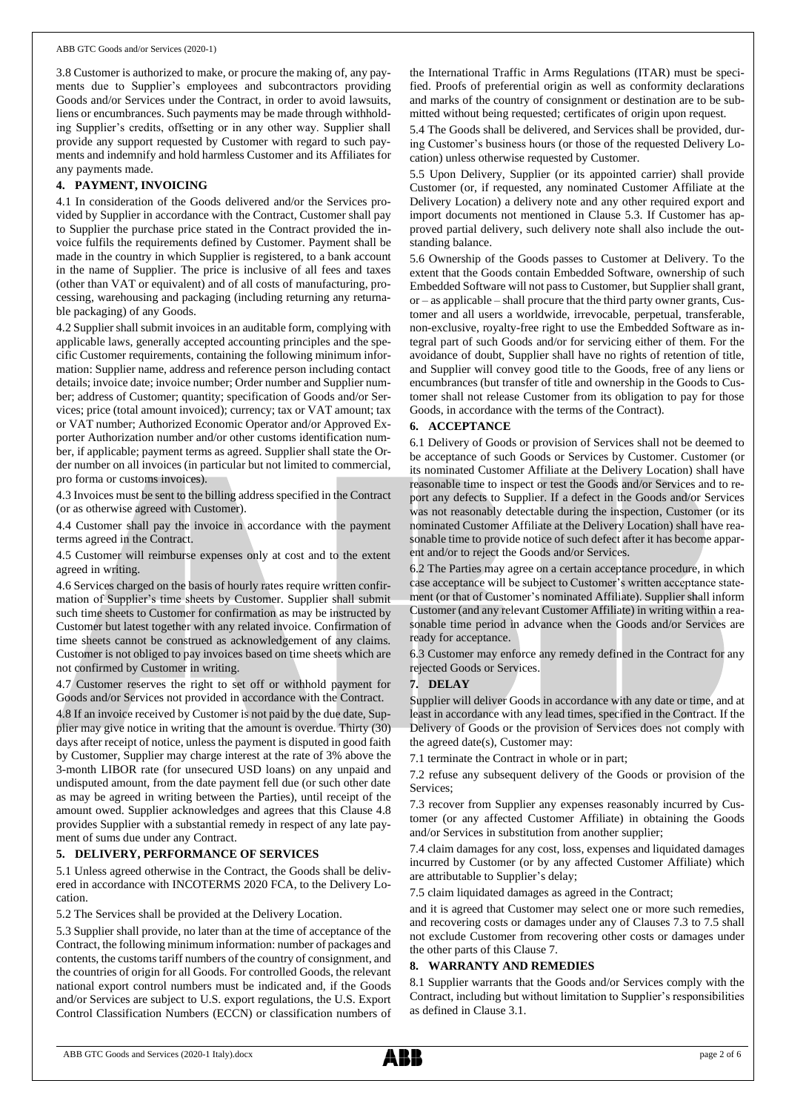3.8 Customer is authorized to make, or procure the making of, any payments due to Supplier's employees and subcontractors providing Goods and/or Services under the Contract, in order to avoid lawsuits, liens or encumbrances. Such payments may be made through withholding Supplier's credits, offsetting or in any other way. Supplier shall provide any support requested by Customer with regard to such payments and indemnify and hold harmless Customer and its Affiliates for any payments made.

## **4. PAYMENT, INVOICING**

4.1 In consideration of the Goods delivered and/or the Services provided by Supplier in accordance with the Contract, Customer shall pay to Supplier the purchase price stated in the Contract provided the invoice fulfils the requirements defined by Customer. Payment shall be made in the country in which Supplier is registered, to a bank account in the name of Supplier. The price is inclusive of all fees and taxes (other than VAT or equivalent) and of all costs of manufacturing, processing, warehousing and packaging (including returning any returnable packaging) of any Goods.

4.2 Supplier shall submit invoices in an auditable form, complying with applicable laws, generally accepted accounting principles and the specific Customer requirements, containing the following minimum information: Supplier name, address and reference person including contact details; invoice date; invoice number; Order number and Supplier number; address of Customer; quantity; specification of Goods and/or Services; price (total amount invoiced); currency; tax or VAT amount; tax or VAT number; Authorized Economic Operator and/or Approved Exporter Authorization number and/or other customs identification number, if applicable; payment terms as agreed. Supplier shall state the Order number on all invoices (in particular but not limited to commercial, pro forma or customs invoices).

4.3 Invoices must be sent to the billing address specified in the Contract (or as otherwise agreed with Customer).

4.4 Customer shall pay the invoice in accordance with the payment terms agreed in the Contract.

4.5 Customer will reimburse expenses only at cost and to the extent agreed in writing.

4.6 Services charged on the basis of hourly rates require written confirmation of Supplier's time sheets by Customer. Supplier shall submit such time sheets to Customer for confirmation as may be instructed by Customer but latest together with any related invoice. Confirmation of time sheets cannot be construed as acknowledgement of any claims. Customer is not obliged to pay invoices based on time sheets which are not confirmed by Customer in writing.

4.7 Customer reserves the right to set off or withhold payment for Goods and/or Services not provided in accordance with the Contract.

4.8 If an invoice received by Customer is not paid by the due date, Supplier may give notice in writing that the amount is overdue. Thirty (30) days after receipt of notice, unless the payment is disputed in good faith by Customer, Supplier may charge interest at the rate of 3% above the 3-month LIBOR rate (for unsecured USD loans) on any unpaid and undisputed amount, from the date payment fell due (or such other date as may be agreed in writing between the Parties), until receipt of the amount owed. Supplier acknowledges and agrees that this Clause 4.8 provides Supplier with a substantial remedy in respect of any late payment of sums due under any Contract.

## **5. DELIVERY, PERFORMANCE OF SERVICES**

5.1 Unless agreed otherwise in the Contract, the Goods shall be delivered in accordance with INCOTERMS 2020 FCA, to the Delivery Location.

5.2 The Services shall be provided at the Delivery Location.

5.3 Supplier shall provide, no later than at the time of acceptance of the Contract, the following minimum information: number of packages and contents, the customs tariff numbers of the country of consignment, and the countries of origin for all Goods. For controlled Goods, the relevant national export control numbers must be indicated and, if the Goods and/or Services are subject to U.S. export regulations, the U.S. Export Control Classification Numbers (ECCN) or classification numbers of the International Traffic in Arms Regulations (ITAR) must be specified. Proofs of preferential origin as well as conformity declarations and marks of the country of consignment or destination are to be submitted without being requested; certificates of origin upon request.

5.4 The Goods shall be delivered, and Services shall be provided, during Customer's business hours (or those of the requested Delivery Location) unless otherwise requested by Customer.

5.5 Upon Delivery, Supplier (or its appointed carrier) shall provide Customer (or, if requested, any nominated Customer Affiliate at the Delivery Location) a delivery note and any other required export and import documents not mentioned in Clause 5.3. If Customer has approved partial delivery, such delivery note shall also include the outstanding balance.

5.6 Ownership of the Goods passes to Customer at Delivery. To the extent that the Goods contain Embedded Software, ownership of such Embedded Software will not passto Customer, but Supplier shall grant, or – as applicable – shall procure that the third party owner grants, Customer and all users a worldwide, irrevocable, perpetual, transferable, non-exclusive, royalty-free right to use the Embedded Software as integral part of such Goods and/or for servicing either of them. For the avoidance of doubt, Supplier shall have no rights of retention of title, and Supplier will convey good title to the Goods, free of any liens or encumbrances (but transfer of title and ownership in the Goods to Customer shall not release Customer from its obligation to pay for those Goods, in accordance with the terms of the Contract).

## **6. ACCEPTANCE**

6.1 Delivery of Goods or provision of Services shall not be deemed to be acceptance of such Goods or Services by Customer. Customer (or its nominated Customer Affiliate at the Delivery Location) shall have reasonable time to inspect or test the Goods and/or Services and to report any defects to Supplier. If a defect in the Goods and/or Services was not reasonably detectable during the inspection, Customer (or its nominated Customer Affiliate at the Delivery Location) shall have reasonable time to provide notice of such defect after it has become apparent and/or to reject the Goods and/or Services.

6.2 The Parties may agree on a certain acceptance procedure, in which case acceptance will be subject to Customer's written acceptance statement (or that of Customer's nominated Affiliate). Supplier shall inform Customer (and any relevant Customer Affiliate) in writing within a reasonable time period in advance when the Goods and/or Services are ready for acceptance.

6.3 Customer may enforce any remedy defined in the Contract for any rejected Goods or Services.

## **7. DELAY**

Supplier will deliver Goods in accordance with any date or time, and at least in accordance with any lead times, specified in the Contract. If the Delivery of Goods or the provision of Services does not comply with the agreed date(s), Customer may:

7.1 terminate the Contract in whole or in part;

7.2 refuse any subsequent delivery of the Goods or provision of the Services;

7.3 recover from Supplier any expenses reasonably incurred by Customer (or any affected Customer Affiliate) in obtaining the Goods and/or Services in substitution from another supplier;

7.4 claim damages for any cost, loss, expenses and liquidated damages incurred by Customer (or by any affected Customer Affiliate) which are attributable to Supplier's delay;

7.5 claim liquidated damages as agreed in the Contract;

and it is agreed that Customer may select one or more such remedies, and recovering costs or damages under any of Clauses 7.3 to 7.5 shall not exclude Customer from recovering other costs or damages under the other parts of this Clause 7.

## **8. WARRANTY AND REMEDIES**

8.1 Supplier warrants that the Goods and/or Services comply with the Contract, including but without limitation to Supplier's responsibilities as defined in Clause 3.1.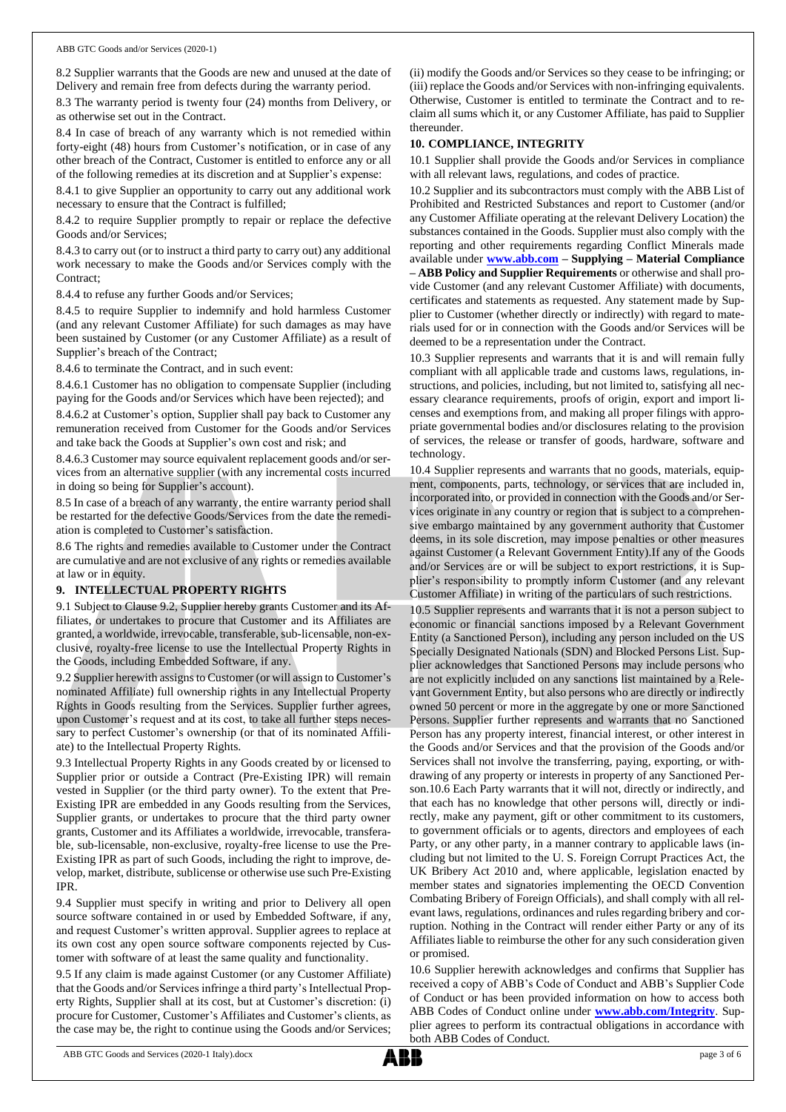8.2 Supplier warrants that the Goods are new and unused at the date of Delivery and remain free from defects during the warranty period.

8.3 The warranty period is twenty four (24) months from Delivery, or as otherwise set out in the Contract.

8.4 In case of breach of any warranty which is not remedied within forty-eight (48) hours from Customer's notification, or in case of any other breach of the Contract, Customer is entitled to enforce any or all of the following remedies at its discretion and at Supplier's expense:

8.4.1 to give Supplier an opportunity to carry out any additional work necessary to ensure that the Contract is fulfilled;

8.4.2 to require Supplier promptly to repair or replace the defective Goods and/or Services;

8.4.3 to carry out (or to instruct a third party to carry out) any additional work necessary to make the Goods and/or Services comply with the Contract;

8.4.4 to refuse any further Goods and/or Services;

8.4.5 to require Supplier to indemnify and hold harmless Customer (and any relevant Customer Affiliate) for such damages as may have been sustained by Customer (or any Customer Affiliate) as a result of Supplier's breach of the Contract;

8.4.6 to terminate the Contract, and in such event:

8.4.6.1 Customer has no obligation to compensate Supplier (including paying for the Goods and/or Services which have been rejected); and

8.4.6.2 at Customer's option, Supplier shall pay back to Customer any remuneration received from Customer for the Goods and/or Services and take back the Goods at Supplier's own cost and risk; and

8.4.6.3 Customer may source equivalent replacement goods and/or services from an alternative supplier (with any incremental costs incurred in doing so being for Supplier's account).

8.5 In case of a breach of any warranty, the entire warranty period shall be restarted for the defective Goods/Services from the date the remediation is completed to Customer's satisfaction.

8.6 The rights and remedies available to Customer under the Contract are cumulative and are not exclusive of any rights or remedies available at law or in equity.

#### **9. INTELLECTUAL PROPERTY RIGHTS**

9.1 Subject to Clause 9.2, Supplier hereby grants Customer and its Affiliates, or undertakes to procure that Customer and its Affiliates are granted, a worldwide, irrevocable, transferable, sub-licensable, non-exclusive, royalty-free license to use the Intellectual Property Rights in the Goods, including Embedded Software, if any.

9.2 Supplier herewith assigns to Customer (or will assign to Customer's nominated Affiliate) full ownership rights in any Intellectual Property Rights in Goods resulting from the Services. Supplier further agrees, upon Customer's request and at its cost, to take all further steps necessary to perfect Customer's ownership (or that of its nominated Affiliate) to the Intellectual Property Rights.

9.3 Intellectual Property Rights in any Goods created by or licensed to Supplier prior or outside a Contract (Pre-Existing IPR) will remain vested in Supplier (or the third party owner). To the extent that Pre-Existing IPR are embedded in any Goods resulting from the Services, Supplier grants, or undertakes to procure that the third party owner grants, Customer and its Affiliates a worldwide, irrevocable, transferable, sub-licensable, non-exclusive, royalty-free license to use the Pre-Existing IPR as part of such Goods, including the right to improve, develop, market, distribute, sublicense or otherwise use such Pre-Existing IPR.

9.4 Supplier must specify in writing and prior to Delivery all open source software contained in or used by Embedded Software, if any, and request Customer's written approval. Supplier agrees to replace at its own cost any open source software components rejected by Customer with software of at least the same quality and functionality.

9.5 If any claim is made against Customer (or any Customer Affiliate) that the Goods and/or Services infringe a third party's Intellectual Property Rights, Supplier shall at its cost, but at Customer's discretion: (i) procure for Customer, Customer's Affiliates and Customer's clients, as the case may be, the right to continue using the Goods and/or Services;

(ii) modify the Goods and/or Services so they cease to be infringing; or (iii) replace the Goods and/or Services with non-infringing equivalents. Otherwise, Customer is entitled to terminate the Contract and to reclaim all sums which it, or any Customer Affiliate, has paid to Supplier thereunder.

### **10. COMPLIANCE, INTEGRITY**

10.1 Supplier shall provide the Goods and/or Services in compliance with all relevant laws, regulations, and codes of practice.

10.2 Supplier and its subcontractors must comply with the ABB List of Prohibited and Restricted Substances and report to Customer (and/or any Customer Affiliate operating at the relevant Delivery Location) the substances contained in the Goods. Supplier must also comply with the reporting and other requirements regarding Conflict Minerals made available under **[www.abb.com](http://www.abb.com/) – Supplying – Material Compliance – ABB Policy and Supplier Requirements** or otherwise and shall provide Customer (and any relevant Customer Affiliate) with documents, certificates and statements as requested. Any statement made by Supplier to Customer (whether directly or indirectly) with regard to materials used for or in connection with the Goods and/or Services will be deemed to be a representation under the Contract.

10.3 Supplier represents and warrants that it is and will remain fully compliant with all applicable trade and customs laws, regulations, instructions, and policies, including, but not limited to, satisfying all necessary clearance requirements, proofs of origin, export and import licenses and exemptions from, and making all proper filings with appropriate governmental bodies and/or disclosures relating to the provision of services, the release or transfer of goods, hardware, software and technology.

10.4 Supplier represents and warrants that no goods, materials, equipment, components, parts, technology, or services that are included in, incorporated into, or provided in connection with the Goods and/or Services originate in any country or region that is subject to a comprehensive embargo maintained by any government authority that Customer deems, in its sole discretion, may impose penalties or other measures against Customer (a Relevant Government Entity).If any of the Goods and/or Services are or will be subject to export restrictions, it is Supplier's responsibility to promptly inform Customer (and any relevant Customer Affiliate) in writing of the particulars of such restrictions.

10.5 Supplier represents and warrants that it is not a person subject to economic or financial sanctions imposed by a Relevant Government Entity (a Sanctioned Person), including any person included on the US Specially Designated Nationals (SDN) and Blocked Persons List. Supplier acknowledges that Sanctioned Persons may include persons who are not explicitly included on any sanctions list maintained by a Relevant Government Entity, but also persons who are directly or indirectly owned 50 percent or more in the aggregate by one or more Sanctioned Persons. Supplier further represents and warrants that no Sanctioned Person has any property interest, financial interest, or other interest in the Goods and/or Services and that the provision of the Goods and/or Services shall not involve the transferring, paying, exporting, or withdrawing of any property or interests in property of any Sanctioned Person.10.6 Each Party warrants that it will not, directly or indirectly, and that each has no knowledge that other persons will, directly or indirectly, make any payment, gift or other commitment to its customers, to government officials or to agents, directors and employees of each Party, or any other party, in a manner contrary to applicable laws (including but not limited to the U. S. Foreign Corrupt Practices Act, the UK Bribery Act 2010 and, where applicable, legislation enacted by member states and signatories implementing the OECD Convention Combating Bribery of Foreign Officials), and shall comply with all relevant laws, regulations, ordinances and rules regarding bribery and corruption. Nothing in the Contract will render either Party or any of its Affiliates liable to reimburse the other for any such consideration given or promised.

10.6 Supplier herewith acknowledges and confirms that Supplier has received a copy of ABB's Code of Conduct and ABB's Supplier Code of Conduct or has been provided information on how to access both ABB Codes of Conduct online under **[www.abb.com/Integrity](http://www.abb.com/Integrity)**. Supplier agrees to perform its contractual obligations in accordance with both ABB Codes of Conduct.

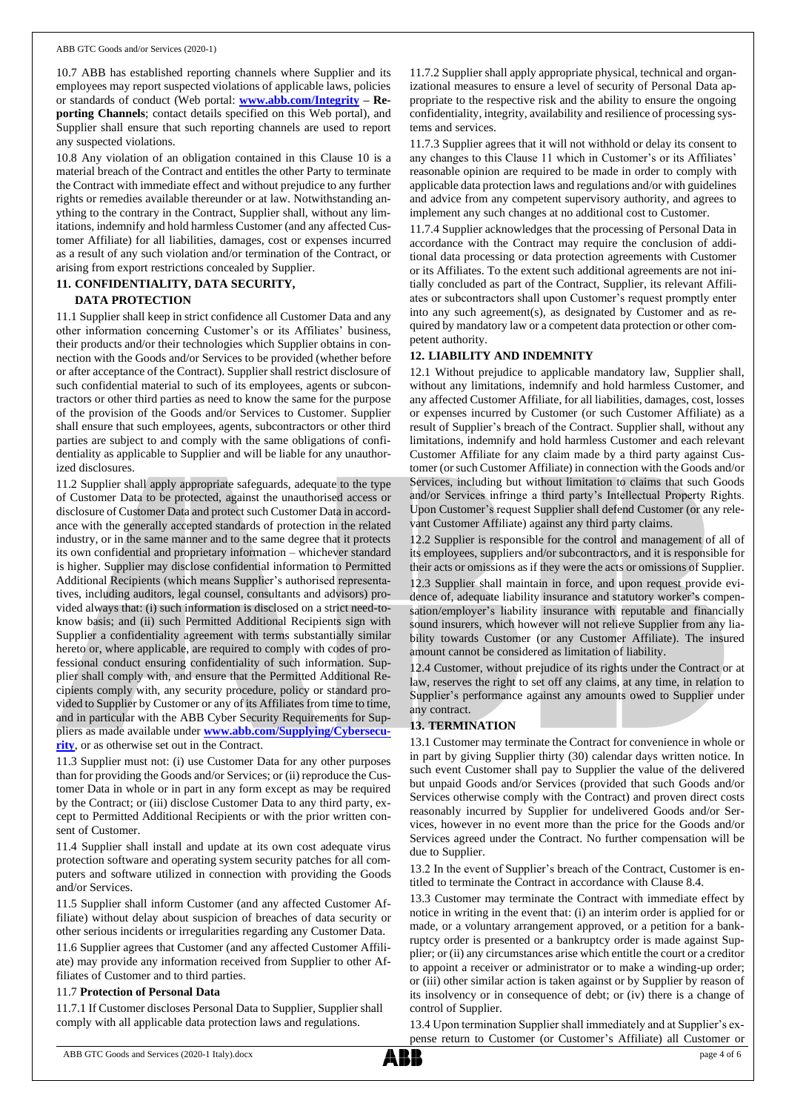10.7 ABB has established reporting channels where Supplier and its employees may report suspected violations of applicable laws, policies or standards of conduct (Web portal: **[www.abb.com/Integrity](http://www.abb.com/Integrity) – Reporting Channels**; contact details specified on this Web portal), and Supplier shall ensure that such reporting channels are used to report any suspected violations.

10.8 Any violation of an obligation contained in this Clause 10 is a material breach of the Contract and entitles the other Party to terminate the Contract with immediate effect and without prejudice to any further rights or remedies available thereunder or at law. Notwithstanding anything to the contrary in the Contract, Supplier shall, without any limitations, indemnify and hold harmless Customer (and any affected Customer Affiliate) for all liabilities, damages, cost or expenses incurred as a result of any such violation and/or termination of the Contract, or arising from export restrictions concealed by Supplier.

## **11. CONFIDENTIALITY, DATA SECURITY,**

## **DATA PROTECTION**

11.1 Supplier shall keep in strict confidence all Customer Data and any other information concerning Customer's or its Affiliates' business, their products and/or their technologies which Supplier obtains in connection with the Goods and/or Services to be provided (whether before or after acceptance of the Contract). Supplier shall restrict disclosure of such confidential material to such of its employees, agents or subcontractors or other third parties as need to know the same for the purpose of the provision of the Goods and/or Services to Customer. Supplier shall ensure that such employees, agents, subcontractors or other third parties are subject to and comply with the same obligations of confidentiality as applicable to Supplier and will be liable for any unauthorized disclosures.

11.2 Supplier shall apply appropriate safeguards, adequate to the type of Customer Data to be protected, against the unauthorised access or disclosure of Customer Data and protect such Customer Data in accordance with the generally accepted standards of protection in the related industry, or in the same manner and to the same degree that it protects its own confidential and proprietary information – whichever standard is higher. Supplier may disclose confidential information to Permitted Additional Recipients (which means Supplier's authorised representatives, including auditors, legal counsel, consultants and advisors) provided always that: (i) such information is disclosed on a strict need-toknow basis; and (ii) such Permitted Additional Recipients sign with Supplier a confidentiality agreement with terms substantially similar hereto or, where applicable, are required to comply with codes of professional conduct ensuring confidentiality of such information. Supplier shall comply with, and ensure that the Permitted Additional Recipients comply with, any security procedure, policy or standard provided to Supplier by Customer or any of its Affiliates from time to time, and in particular with the ABB Cyber Security Requirements for Suppliers as made available under **[www.abb.com/Supplying/Cybersecu](http://www.abb.com/Supplying/Cybersecurity)[rity](http://www.abb.com/Supplying/Cybersecurity)**, or as otherwise set out in the Contract.

11.3 Supplier must not: (i) use Customer Data for any other purposes than for providing the Goods and/or Services; or (ii) reproduce the Customer Data in whole or in part in any form except as may be required by the Contract; or (iii) disclose Customer Data to any third party, except to Permitted Additional Recipients or with the prior written consent of Customer.

11.4 Supplier shall install and update at its own cost adequate virus protection software and operating system security patches for all computers and software utilized in connection with providing the Goods and/or Services.

11.5 Supplier shall inform Customer (and any affected Customer Affiliate) without delay about suspicion of breaches of data security or other serious incidents or irregularities regarding any Customer Data.

11.6 Supplier agrees that Customer (and any affected Customer Affiliate) may provide any information received from Supplier to other Affiliates of Customer and to third parties.

#### 11.7 **Protection of Personal Data**

11.7.1 If Customer discloses Personal Data to Supplier, Supplier shall comply with all applicable data protection laws and regulations.

11.7.2 Supplier shall apply appropriate physical, technical and organizational measures to ensure a level of security of Personal Data appropriate to the respective risk and the ability to ensure the ongoing confidentiality, integrity, availability and resilience of processing systems and services.

11.7.3 Supplier agrees that it will not withhold or delay its consent to any changes to this Clause 11 which in Customer's or its Affiliates' reasonable opinion are required to be made in order to comply with applicable data protection laws and regulations and/or with guidelines and advice from any competent supervisory authority, and agrees to implement any such changes at no additional cost to Customer.

11.7.4 Supplier acknowledges that the processing of Personal Data in accordance with the Contract may require the conclusion of additional data processing or data protection agreements with Customer or its Affiliates. To the extent such additional agreements are not initially concluded as part of the Contract, Supplier, its relevant Affiliates or subcontractors shall upon Customer's request promptly enter into any such agreement(s), as designated by Customer and as required by mandatory law or a competent data protection or other competent authority.

## **12. LIABILITY AND INDEMNITY**

12.1 Without prejudice to applicable mandatory law, Supplier shall, without any limitations, indemnify and hold harmless Customer, and any affected Customer Affiliate, for all liabilities, damages, cost, losses or expenses incurred by Customer (or such Customer Affiliate) as a result of Supplier's breach of the Contract. Supplier shall, without any limitations, indemnify and hold harmless Customer and each relevant Customer Affiliate for any claim made by a third party against Customer (or such Customer Affiliate) in connection with the Goods and/or Services, including but without limitation to claims that such Goods and/or Services infringe a third party's Intellectual Property Rights. Upon Customer's request Supplier shall defend Customer (or any relevant Customer Affiliate) against any third party claims.

12.2 Supplier is responsible for the control and management of all of its employees, suppliers and/or subcontractors, and it is responsible for their acts or omissions as if they were the acts or omissions of Supplier.

12.3 Supplier shall maintain in force, and upon request provide evidence of, adequate liability insurance and statutory worker's compensation/employer's liability insurance with reputable and financially sound insurers, which however will not relieve Supplier from any liability towards Customer (or any Customer Affiliate). The insured amount cannot be considered as limitation of liability.

12.4 Customer, without prejudice of its rights under the Contract or at law, reserves the right to set off any claims, at any time, in relation to Supplier's performance against any amounts owed to Supplier under any contract.

## **13. TERMINATION**

13.1 Customer may terminate the Contract for convenience in whole or in part by giving Supplier thirty (30) calendar days written notice. In such event Customer shall pay to Supplier the value of the delivered but unpaid Goods and/or Services (provided that such Goods and/or Services otherwise comply with the Contract) and proven direct costs reasonably incurred by Supplier for undelivered Goods and/or Services, however in no event more than the price for the Goods and/or Services agreed under the Contract. No further compensation will be due to Supplier.

13.2 In the event of Supplier's breach of the Contract, Customer is entitled to terminate the Contract in accordance with Clause 8.4.

13.3 Customer may terminate the Contract with immediate effect by notice in writing in the event that: (i) an interim order is applied for or made, or a voluntary arrangement approved, or a petition for a bankruptcy order is presented or a bankruptcy order is made against Supplier; or (ii) any circumstances arise which entitle the court or a creditor to appoint a receiver or administrator or to make a winding-up order; or (iii) other similar action is taken against or by Supplier by reason of its insolvency or in consequence of debt; or (iv) there is a change of control of Supplier.

13.4 Upon termination Supplier shall immediately and at Supplier's expense return to Customer (or Customer's Affiliate) all Customer or

ABB GTC Goods and Services (2020-1 Italy).docx page 4 of 6

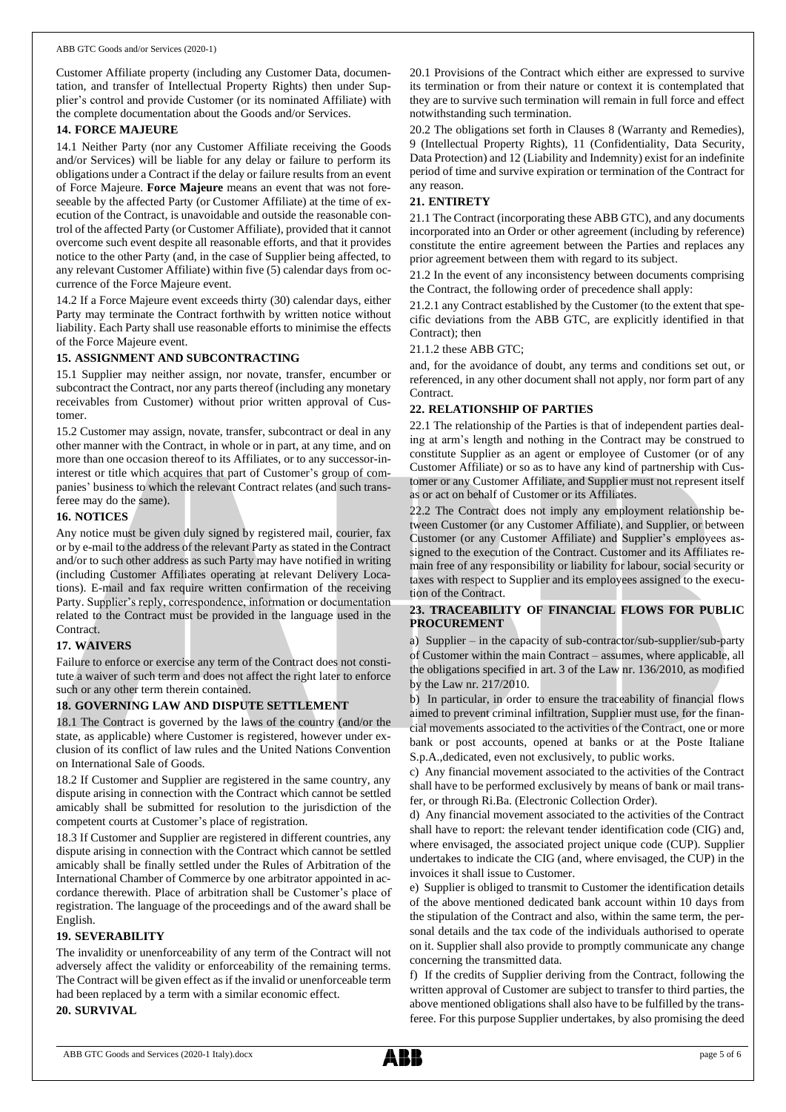Customer Affiliate property (including any Customer Data, documentation, and transfer of Intellectual Property Rights) then under Supplier's control and provide Customer (or its nominated Affiliate) with the complete documentation about the Goods and/or Services.

### **14. FORCE MAJEURE**

14.1 Neither Party (nor any Customer Affiliate receiving the Goods and/or Services) will be liable for any delay or failure to perform its obligations under a Contract if the delay or failure results from an event of Force Majeure. **Force Majeure** means an event that was not foreseeable by the affected Party (or Customer Affiliate) at the time of execution of the Contract, is unavoidable and outside the reasonable control of the affected Party (or Customer Affiliate), provided that it cannot overcome such event despite all reasonable efforts, and that it provides notice to the other Party (and, in the case of Supplier being affected, to any relevant Customer Affiliate) within five (5) calendar days from occurrence of the Force Majeure event.

14.2 If a Force Majeure event exceeds thirty (30) calendar days, either Party may terminate the Contract forthwith by written notice without liability. Each Party shall use reasonable efforts to minimise the effects of the Force Majeure event.

## **15. ASSIGNMENT AND SUBCONTRACTING**

15.1 Supplier may neither assign, nor novate, transfer, encumber or subcontract the Contract, nor any parts thereof (including any monetary receivables from Customer) without prior written approval of Customer.

15.2 Customer may assign, novate, transfer, subcontract or deal in any other manner with the Contract, in whole or in part, at any time, and on more than one occasion thereof to its Affiliates, or to any successor-ininterest or title which acquires that part of Customer's group of companies' business to which the relevant Contract relates (and such transferee may do the same).

## **16. NOTICES**

Any notice must be given duly signed by registered mail, courier, fax or by e-mail to the address of the relevant Party as stated in the Contract and/or to such other address as such Party may have notified in writing (including Customer Affiliates operating at relevant Delivery Locations). E-mail and fax require written confirmation of the receiving Party. Supplier's reply, correspondence, information or documentation related to the Contract must be provided in the language used in the Contract.

## **17. WAIVERS**

Failure to enforce or exercise any term of the Contract does not constitute a waiver of such term and does not affect the right later to enforce such or any other term therein contained.

## **18. GOVERNING LAW AND DISPUTE SETTLEMENT**

18.1 The Contract is governed by the laws of the country (and/or the state, as applicable) where Customer is registered, however under exclusion of its conflict of law rules and the United Nations Convention on International Sale of Goods.

18.2 If Customer and Supplier are registered in the same country, any dispute arising in connection with the Contract which cannot be settled amicably shall be submitted for resolution to the jurisdiction of the competent courts at Customer's place of registration.

18.3 If Customer and Supplier are registered in different countries, any dispute arising in connection with the Contract which cannot be settled amicably shall be finally settled under the Rules of Arbitration of the International Chamber of Commerce by one arbitrator appointed in accordance therewith. Place of arbitration shall be Customer's place of registration. The language of the proceedings and of the award shall be English.

## **19. SEVERABILITY**

The invalidity or unenforceability of any term of the Contract will not adversely affect the validity or enforceability of the remaining terms. The Contract will be given effect as if the invalid or unenforceable term had been replaced by a term with a similar economic effect.

**20. SURVIVAL**

20.1 Provisions of the Contract which either are expressed to survive its termination or from their nature or context it is contemplated that they are to survive such termination will remain in full force and effect notwithstanding such termination.

20.2 The obligations set forth in Clauses 8 (Warranty and Remedies), 9 (Intellectual Property Rights), 11 (Confidentiality, Data Security, Data Protection) and 12 (Liability and Indemnity) exist for an indefinite period of time and survive expiration or termination of the Contract for any reason.

## **21. ENTIRETY**

21.1 The Contract (incorporating these ABB GTC), and any documents incorporated into an Order or other agreement (including by reference) constitute the entire agreement between the Parties and replaces any prior agreement between them with regard to its subject.

21.2 In the event of any inconsistency between documents comprising the Contract, the following order of precedence shall apply:

21.2.1 any Contract established by the Customer (to the extent that specific deviations from the ABB GTC, are explicitly identified in that Contract); then

## 21.1.2 these ABB GTC;

and, for the avoidance of doubt, any terms and conditions set out, or referenced, in any other document shall not apply, nor form part of any Contract.

## **22. RELATIONSHIP OF PARTIES**

22.1 The relationship of the Parties is that of independent parties dealing at arm's length and nothing in the Contract may be construed to constitute Supplier as an agent or employee of Customer (or of any Customer Affiliate) or so as to have any kind of partnership with Customer or any Customer Affiliate, and Supplier must not represent itself as or act on behalf of Customer or its Affiliates.

22.2 The Contract does not imply any employment relationship between Customer (or any Customer Affiliate), and Supplier, or between Customer (or any Customer Affiliate) and Supplier's employees assigned to the execution of the Contract. Customer and its Affiliates remain free of any responsibility or liability for labour, social security or taxes with respect to Supplier and its employees assigned to the execution of the Contract.

## **23. TRACEABILITY OF FINANCIAL FLOWS FOR PUBLIC PROCUREMENT**

a) Supplier – in the capacity of sub-contractor/sub-supplier/sub-party of Customer within the main Contract – assumes, where applicable, all the obligations specified in art. 3 of the Law nr. 136/2010, as modified by the Law nr. 217/2010.

b) In particular, in order to ensure the traceability of financial flows aimed to prevent criminal infiltration, Supplier must use, for the financial movements associated to the activities of the Contract, one or more bank or post accounts, opened at banks or at the Poste Italiane S.p.A.,dedicated, even not exclusively, to public works.

c) Any financial movement associated to the activities of the Contract shall have to be performed exclusively by means of bank or mail transfer, or through Ri.Ba. (Electronic Collection Order).

d) Any financial movement associated to the activities of the Contract shall have to report: the relevant tender identification code (CIG) and, where envisaged, the associated project unique code (CUP). Supplier undertakes to indicate the CIG (and, where envisaged, the CUP) in the invoices it shall issue to Customer.

e) Supplier is obliged to transmit to Customer the identification details of the above mentioned dedicated bank account within 10 days from the stipulation of the Contract and also, within the same term, the personal details and the tax code of the individuals authorised to operate on it. Supplier shall also provide to promptly communicate any change concerning the transmitted data.

f) If the credits of Supplier deriving from the Contract, following the written approval of Customer are subject to transfer to third parties, the above mentioned obligations shall also have to be fulfilled by the transferee. For this purpose Supplier undertakes, by also promising the deed